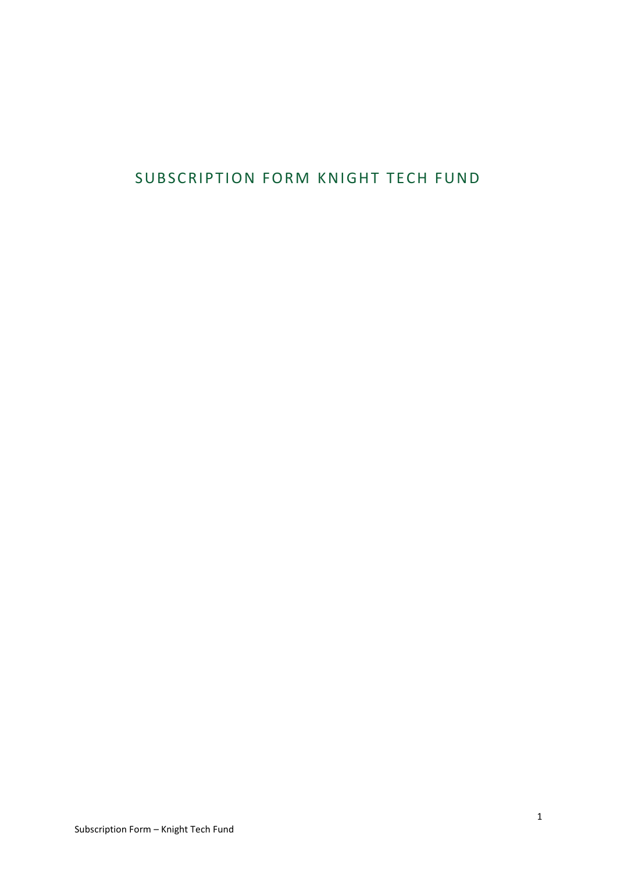# SUBSCRIPTION FORM KNIGHT TECH FUND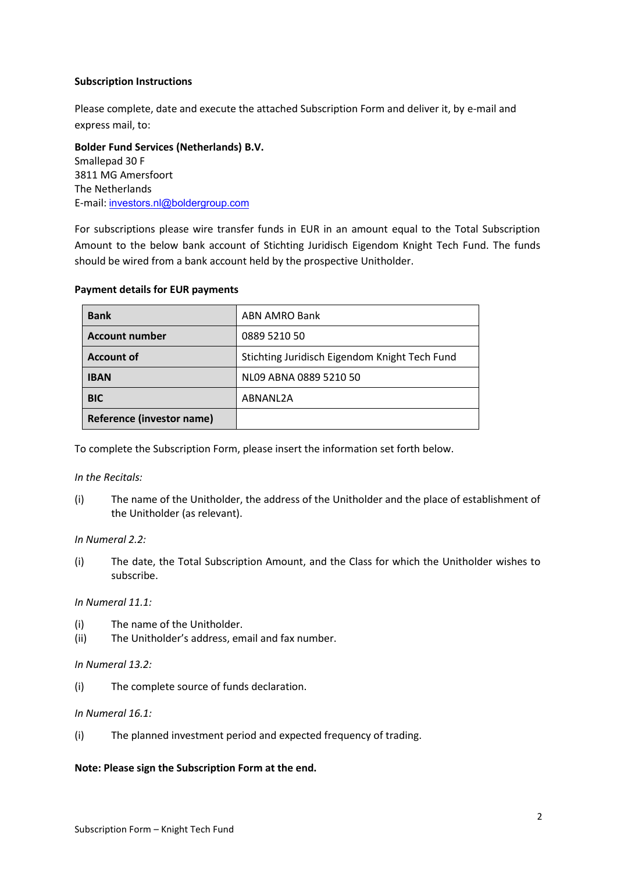## **Subscription Instructions**

Please complete, date and execute the attached Subscription Form and deliver it, by e-mail and express mail, to:

**Bolder Fund Services (Netherlands) B.V.** Smallepad 30 F 3811 MG Amersfoort The Netherlands E-mail: investors.nl@boldergroup.com

For subscriptions please wire transfer funds in EUR in an amount equal to the Total Subscription Amount to the below bank account of Stichting Juridisch Eigendom Knight Tech Fund. The funds should be wired from a bank account held by the prospective Unitholder.

| <b>Bank</b>               | ABN AMRO Bank                                 |
|---------------------------|-----------------------------------------------|
| <b>Account number</b>     | 0889 5210 50                                  |
| <b>Account of</b>         | Stichting Juridisch Eigendom Knight Tech Fund |
| <b>IBAN</b>               | NL09 ABNA 0889 5210 50                        |
| <b>BIC</b>                | ABNANL2A                                      |
| Reference (investor name) |                                               |

#### **Payment details for EUR payments**

To complete the Subscription Form, please insert the information set forth below.

#### *In the Recitals:*

(i) The name of the Unitholder, the address of the Unitholder and the place of establishment of the Unitholder (as relevant).

#### *In Numeral 2.2:*

(i) The date, the Total Subscription Amount, and the Class for which the Unitholder wishes to subscribe.

#### *In Numeral 11.1:*

- (i) The name of the Unitholder.
- (ii) The Unitholder's address, email and fax number.

#### *In Numeral 13.2:*

(i) The complete source of funds declaration.

#### *In Numeral 16.1:*

(i) The planned investment period and expected frequency of trading.

#### **Note: Please sign the Subscription Form at the end.**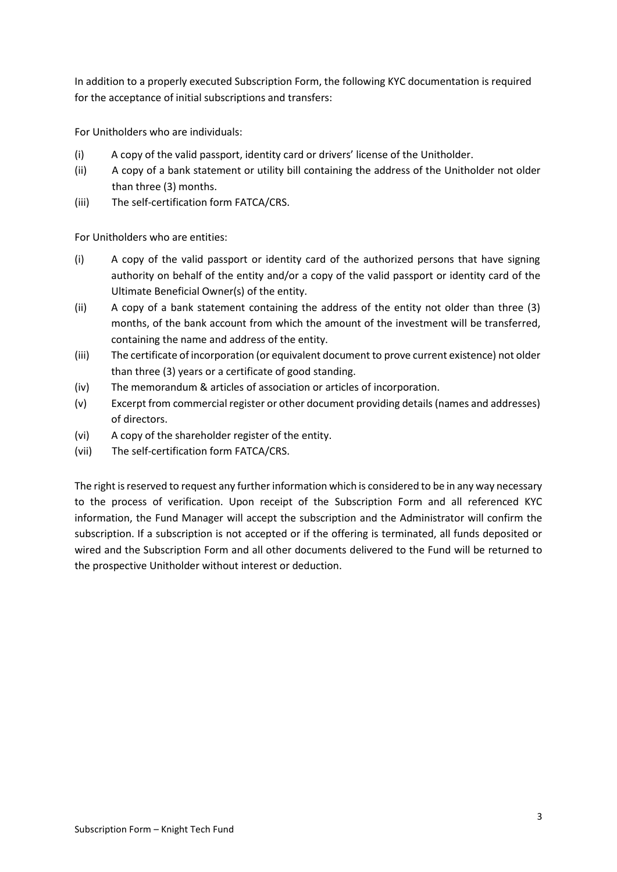In addition to a properly executed Subscription Form, the following KYC documentation is required for the acceptance of initial subscriptions and transfers:

For Unitholders who are individuals:

- (i) A copy of the valid passport, identity card or drivers' license of the Unitholder.
- (ii) A copy of a bank statement or utility bill containing the address of the Unitholder not older than three (3) months.
- (iii) The self-certification form FATCA/CRS.

For Unitholders who are entities:

- (i) A copy of the valid passport or identity card of the authorized persons that have signing authority on behalf of the entity and/or a copy of the valid passport or identity card of the Ultimate Beneficial Owner(s) of the entity.
- (ii) A copy of a bank statement containing the address of the entity not older than three (3) months, of the bank account from which the amount of the investment will be transferred, containing the name and address of the entity.
- (iii) The certificate of incorporation (or equivalent document to prove current existence) not older than three (3) years or a certificate of good standing.
- (iv) The memorandum & articles of association or articles of incorporation.
- (v) Excerpt from commercial register or other document providing details (names and addresses) of directors.
- (vi) A copy of the shareholder register of the entity.
- (vii) The self-certification form FATCA/CRS.

The right is reserved to request any further information which is considered to be in any way necessary to the process of verification. Upon receipt of the Subscription Form and all referenced KYC information, the Fund Manager will accept the subscription and the Administrator will confirm the subscription. If a subscription is not accepted or if the offering is terminated, all funds deposited or wired and the Subscription Form and all other documents delivered to the Fund will be returned to the prospective Unitholder without interest or deduction.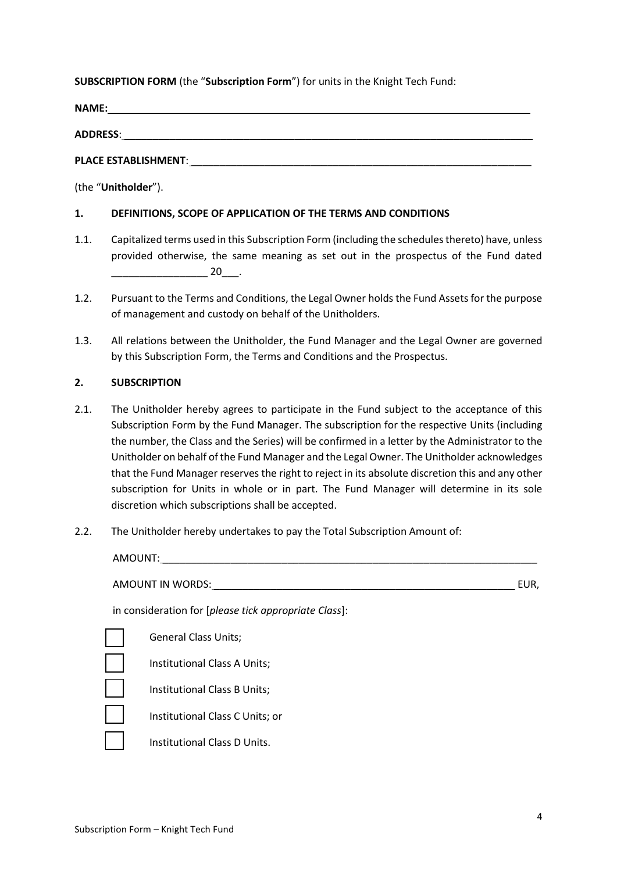# **SUBSCRIPTION FORM** (the "**Subscription Form**") for units in the Knight Tech Fund:

**NAME:** \_\_\_\_\_\_\_\_\_\_\_\_\_\_\_\_\_\_\_\_\_\_\_\_\_\_\_\_\_\_\_\_\_\_\_\_\_\_\_\_\_\_\_\_\_\_\_\_\_\_\_\_\_\_\_\_\_\_\_\_\_\_\_\_\_\_\_\_\_\_\_\_\_\_

**ADDRESS**: \_\_\_\_\_\_\_\_\_\_\_\_\_\_\_\_\_\_\_\_\_\_\_\_\_\_\_\_\_\_\_\_\_\_\_\_\_\_\_\_\_\_\_\_\_\_\_\_\_\_\_\_\_\_\_\_\_\_\_\_\_\_\_\_\_\_\_\_\_\_\_\_

PLACE ESTABLISHMENT:

(the "**Unitholder**").

# **1. DEFINITIONS, SCOPE OF APPLICATION OF THE TERMS AND CONDITIONS**

- 1.1. Capitalized terms used in this Subscription Form (including the schedules thereto) have, unless provided otherwise, the same meaning as set out in the prospectus of the Fund dated  $20$  .
- 1.2. Pursuant to the Terms and Conditions, the Legal Owner holds the Fund Assets for the purpose of management and custody on behalf of the Unitholders.
- 1.3. All relations between the Unitholder, the Fund Manager and the Legal Owner are governed by this Subscription Form, the Terms and Conditions and the Prospectus.

# **2. SUBSCRIPTION**

- 2.1. The Unitholder hereby agrees to participate in the Fund subject to the acceptance of this Subscription Form by the Fund Manager. The subscription for the respective Units (including the number, the Class and the Series) will be confirmed in a letter by the Administrator to the Unitholder on behalf of the Fund Manager and the Legal Owner. The Unitholder acknowledges that the Fund Manager reserves the right to reject in its absolute discretion this and any other subscription for Units in whole or in part. The Fund Manager will determine in its sole discretion which subscriptions shall be accepted.
- 2.2. The Unitholder hereby undertakes to pay the Total Subscription Amount of:

| AMOUNT:          |                                                       |      |
|------------------|-------------------------------------------------------|------|
| AMOUNT IN WORDS: |                                                       | EUR, |
|                  | in consideration for [please tick appropriate Class]: |      |
|                  | <b>General Class Units;</b>                           |      |
|                  | Institutional Class A Units;                          |      |
|                  | Institutional Class B Units;                          |      |
|                  | Institutional Class C Units; or                       |      |
|                  | Institutional Class D Units.                          |      |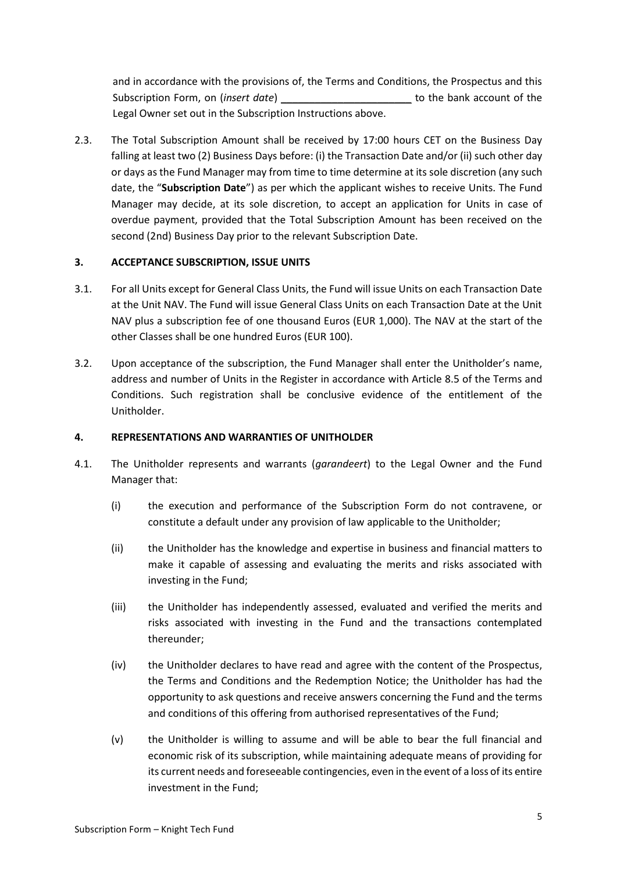and in accordance with the provisions of, the Terms and Conditions, the Prospectus and this Subscription Form, on (*insert date*) \_\_\_\_\_\_\_\_\_\_\_\_\_\_\_\_\_\_\_\_\_\_\_ to the bank account of the Legal Owner set out in the Subscription Instructions above.

2.3. The Total Subscription Amount shall be received by 17:00 hours CET on the Business Day falling at least two (2) Business Days before: (i) the Transaction Date and/or (ii) such other day or days as the Fund Manager may from time to time determine at its sole discretion (any such date, the "**Subscription Date**") as per which the applicant wishes to receive Units. The Fund Manager may decide, at its sole discretion, to accept an application for Units in case of overdue payment, provided that the Total Subscription Amount has been received on the second (2nd) Business Day prior to the relevant Subscription Date.

# **3. ACCEPTANCE SUBSCRIPTION, ISSUE UNITS**

- 3.1. For all Units except for General Class Units, the Fund will issue Units on each Transaction Date at the Unit NAV. The Fund will issue General Class Units on each Transaction Date at the Unit NAV plus a subscription fee of one thousand Euros (EUR 1,000). The NAV at the start of the other Classes shall be one hundred Euros (EUR 100).
- 3.2. Upon acceptance of the subscription, the Fund Manager shall enter the Unitholder's name, address and number of Units in the Register in accordance with Article 8.5 of the Terms and Conditions. Such registration shall be conclusive evidence of the entitlement of the Unitholder.

## **4. REPRESENTATIONS AND WARRANTIES OF UNITHOLDER**

- 4.1. The Unitholder represents and warrants (*garandeert*) to the Legal Owner and the Fund Manager that:
	- (i) the execution and performance of the Subscription Form do not contravene, or constitute a default under any provision of law applicable to the Unitholder;
	- (ii) the Unitholder has the knowledge and expertise in business and financial matters to make it capable of assessing and evaluating the merits and risks associated with investing in the Fund;
	- (iii) the Unitholder has independently assessed, evaluated and verified the merits and risks associated with investing in the Fund and the transactions contemplated thereunder;
	- (iv) the Unitholder declares to have read and agree with the content of the Prospectus, the Terms and Conditions and the Redemption Notice; the Unitholder has had the opportunity to ask questions and receive answers concerning the Fund and the terms and conditions of this offering from authorised representatives of the Fund;
	- (v) the Unitholder is willing to assume and will be able to bear the full financial and economic risk of its subscription, while maintaining adequate means of providing for its current needs and foreseeable contingencies, even in the event of a loss of its entire investment in the Fund;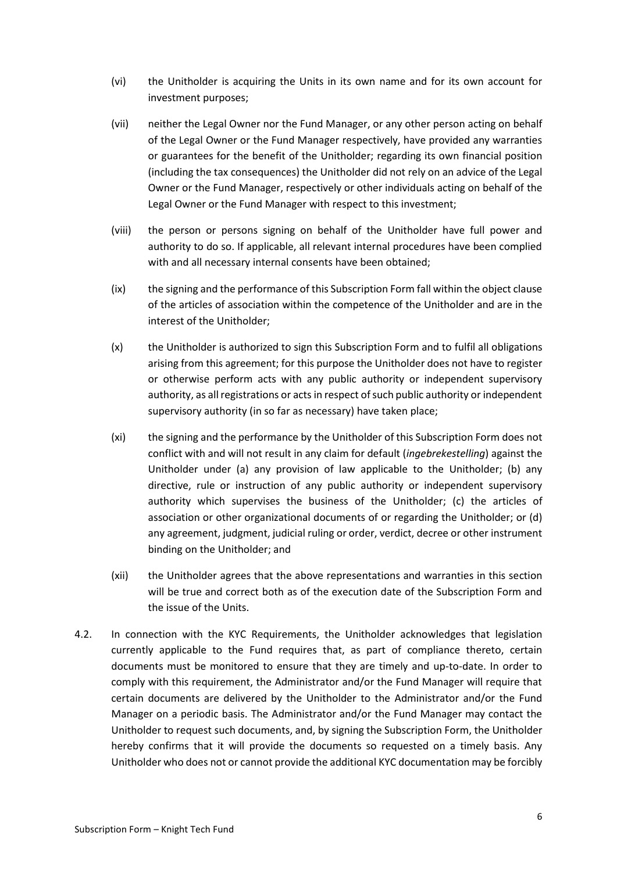- (vi) the Unitholder is acquiring the Units in its own name and for its own account for investment purposes;
- (vii) neither the Legal Owner nor the Fund Manager, or any other person acting on behalf of the Legal Owner or the Fund Manager respectively, have provided any warranties or guarantees for the benefit of the Unitholder; regarding its own financial position (including the tax consequences) the Unitholder did not rely on an advice of the Legal Owner or the Fund Manager, respectively or other individuals acting on behalf of the Legal Owner or the Fund Manager with respect to this investment;
- (viii) the person or persons signing on behalf of the Unitholder have full power and authority to do so. If applicable, all relevant internal procedures have been complied with and all necessary internal consents have been obtained;
- (ix) the signing and the performance of this Subscription Form fall within the object clause of the articles of association within the competence of the Unitholder and are in the interest of the Unitholder;
- (x) the Unitholder is authorized to sign this Subscription Form and to fulfil all obligations arising from this agreement; for this purpose the Unitholder does not have to register or otherwise perform acts with any public authority or independent supervisory authority, as all registrations or acts in respect of such public authority or independent supervisory authority (in so far as necessary) have taken place;
- (xi) the signing and the performance by the Unitholder of this Subscription Form does not conflict with and will not result in any claim for default (*ingebrekestelling*) against the Unitholder under (a) any provision of law applicable to the Unitholder; (b) any directive, rule or instruction of any public authority or independent supervisory authority which supervises the business of the Unitholder; (c) the articles of association or other organizational documents of or regarding the Unitholder; or (d) any agreement, judgment, judicial ruling or order, verdict, decree or other instrument binding on the Unitholder; and
- (xii) the Unitholder agrees that the above representations and warranties in this section will be true and correct both as of the execution date of the Subscription Form and the issue of the Units.
- 4.2. In connection with the KYC Requirements, the Unitholder acknowledges that legislation currently applicable to the Fund requires that, as part of compliance thereto, certain documents must be monitored to ensure that they are timely and up-to-date. In order to comply with this requirement, the Administrator and/or the Fund Manager will require that certain documents are delivered by the Unitholder to the Administrator and/or the Fund Manager on a periodic basis. The Administrator and/or the Fund Manager may contact the Unitholder to request such documents, and, by signing the Subscription Form, the Unitholder hereby confirms that it will provide the documents so requested on a timely basis. Any Unitholder who does not or cannot provide the additional KYC documentation may be forcibly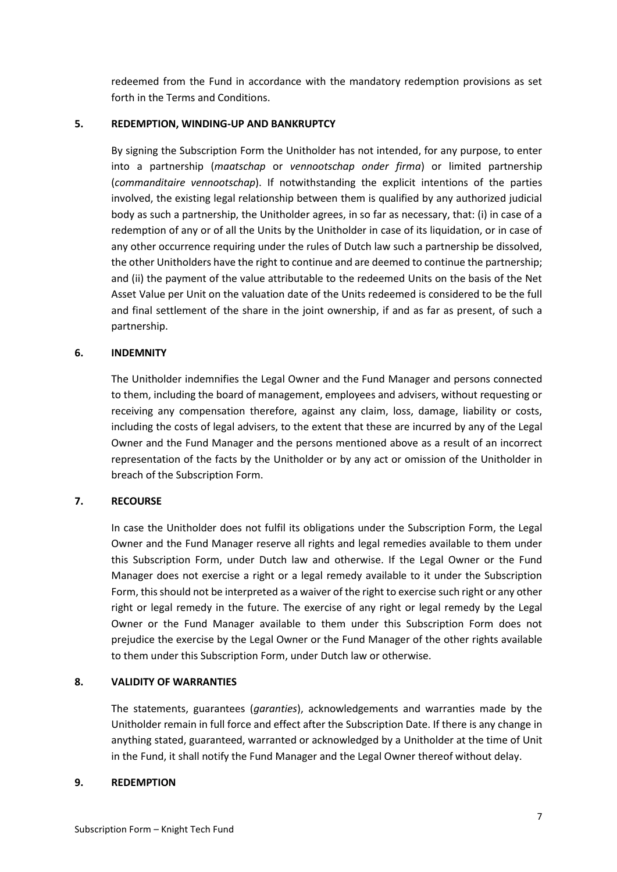redeemed from the Fund in accordance with the mandatory redemption provisions as set forth in the Terms and Conditions.

## **5. REDEMPTION, WINDING-UP AND BANKRUPTCY**

By signing the Subscription Form the Unitholder has not intended, for any purpose, to enter into a partnership (*maatschap* or *vennootschap onder firma*) or limited partnership (*commanditaire vennootschap*). If notwithstanding the explicit intentions of the parties involved, the existing legal relationship between them is qualified by any authorized judicial body as such a partnership, the Unitholder agrees, in so far as necessary, that: (i) in case of a redemption of any or of all the Units by the Unitholder in case of its liquidation, or in case of any other occurrence requiring under the rules of Dutch law such a partnership be dissolved, the other Unitholders have the right to continue and are deemed to continue the partnership; and (ii) the payment of the value attributable to the redeemed Units on the basis of the Net Asset Value per Unit on the valuation date of the Units redeemed is considered to be the full and final settlement of the share in the joint ownership, if and as far as present, of such a partnership.

#### **6. INDEMNITY**

The Unitholder indemnifies the Legal Owner and the Fund Manager and persons connected to them, including the board of management, employees and advisers, without requesting or receiving any compensation therefore, against any claim, loss, damage, liability or costs, including the costs of legal advisers, to the extent that these are incurred by any of the Legal Owner and the Fund Manager and the persons mentioned above as a result of an incorrect representation of the facts by the Unitholder or by any act or omission of the Unitholder in breach of the Subscription Form.

# **7. RECOURSE**

In case the Unitholder does not fulfil its obligations under the Subscription Form, the Legal Owner and the Fund Manager reserve all rights and legal remedies available to them under this Subscription Form, under Dutch law and otherwise. If the Legal Owner or the Fund Manager does not exercise a right or a legal remedy available to it under the Subscription Form, this should not be interpreted as a waiver of the right to exercise such right or any other right or legal remedy in the future. The exercise of any right or legal remedy by the Legal Owner or the Fund Manager available to them under this Subscription Form does not prejudice the exercise by the Legal Owner or the Fund Manager of the other rights available to them under this Subscription Form, under Dutch law or otherwise.

#### **8. VALIDITY OF WARRANTIES**

The statements, guarantees (*garanties*), acknowledgements and warranties made by the Unitholder remain in full force and effect after the Subscription Date. If there is any change in anything stated, guaranteed, warranted or acknowledged by a Unitholder at the time of Unit in the Fund, it shall notify the Fund Manager and the Legal Owner thereof without delay.

#### **9. REDEMPTION**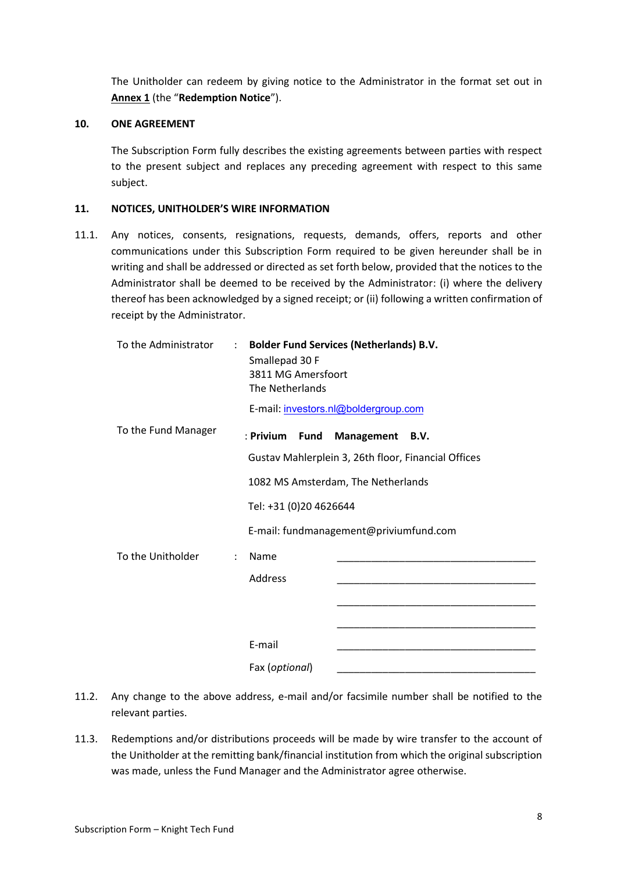The Unitholder can redeem by giving notice to the Administrator in the format set out in **Annex 1** (the "**Redemption Notice**").

#### **10. ONE AGREEMENT**

The Subscription Form fully describes the existing agreements between parties with respect to the present subject and replaces any preceding agreement with respect to this same subject.

#### **11. NOTICES, UNITHOLDER'S WIRE INFORMATION**

11.1. Any notices, consents, resignations, requests, demands, offers, reports and other communications under this Subscription Form required to be given hereunder shall be in writing and shall be addressed or directed as set forth below, provided that the notices to the Administrator shall be deemed to be received by the Administrator: (i) where the delivery thereof has been acknowledged by a signed receipt; or (ii) following a written confirmation of receipt by the Administrator.

| To the Administrator                      | : Bolder Fund Services (Netherlands) B.V.<br>Smallepad 30 F<br>3811 MG Amersfoort<br>The Netherlands<br>E-mail: investors.nl@boldergroup.com |  |  |  |  |
|-------------------------------------------|----------------------------------------------------------------------------------------------------------------------------------------------|--|--|--|--|
| To the Fund Manager                       | : Privium<br><b>Fund Management</b><br>B.V.                                                                                                  |  |  |  |  |
|                                           | Gustav Mahlerplein 3, 26th floor, Financial Offices                                                                                          |  |  |  |  |
|                                           | 1082 MS Amsterdam, The Netherlands                                                                                                           |  |  |  |  |
|                                           | Tel: +31 (0)20 4626644                                                                                                                       |  |  |  |  |
|                                           | E-mail: fundmanagement@priviumfund.com                                                                                                       |  |  |  |  |
| To the Unitholder<br>$\ddot{\phantom{a}}$ | Name                                                                                                                                         |  |  |  |  |
|                                           | Address                                                                                                                                      |  |  |  |  |
|                                           |                                                                                                                                              |  |  |  |  |
|                                           |                                                                                                                                              |  |  |  |  |
|                                           | E-mail                                                                                                                                       |  |  |  |  |
|                                           | Fax (optional)                                                                                                                               |  |  |  |  |

- 11.2. Any change to the above address, e-mail and/or facsimile number shall be notified to the relevant parties.
- 11.3. Redemptions and/or distributions proceeds will be made by wire transfer to the account of the Unitholder at the remitting bank/financial institution from which the original subscription was made, unless the Fund Manager and the Administrator agree otherwise.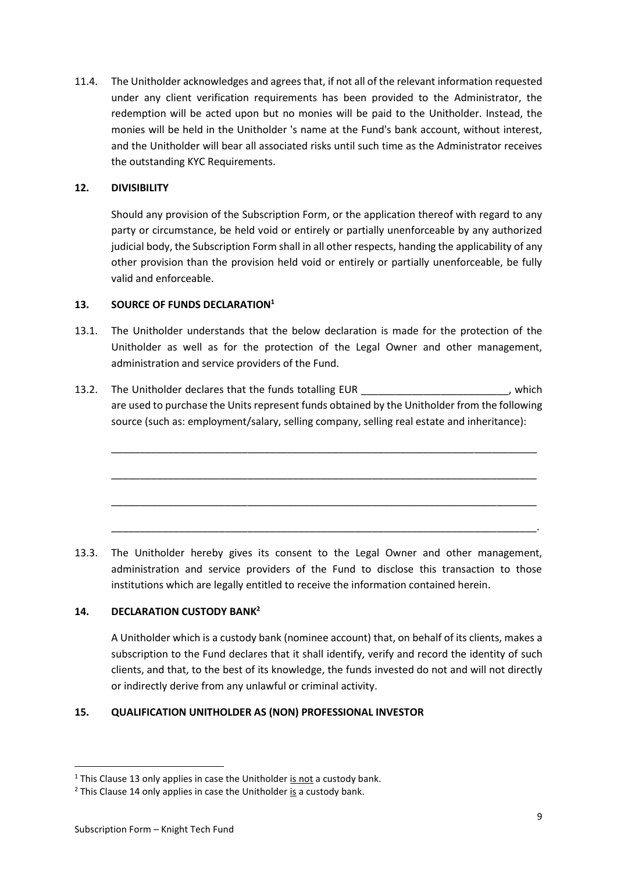11.4. The Unitholder acknowledges and agrees that, if not all of the relevant information requested under any client verification requirements has been provided to the Administrator, the redemption will be acted upon but no monies will be paid to the Unitholder. Instead, the monies will be held in the Unitholder 's name at the Fund's bank account, without interest, and the Unitholder will bear all associated risks until such time as the Administrator receives the outstanding KYC Requirements.

# **12. DIVISIBILITY**

Should any provision of the Subscription Form, or the application thereof with regard to any party or circumstance, be held void or entirely or partially unenforceable by any authorized judicial body, the Subscription Form shall in all other respects, handing the applicability of any other provision than the provision held void or entirely or partially unenforceable, be fully valid and enforceable.

# **13. SOURCE OF FUNDS DECLARATION<sup>1</sup>**

- 13.1. The Unitholder understands that the below declaration is made for the protection of the Unitholder as well as for the protection of the Legal Owner and other management, administration and service providers of the Fund.
- 13.2. The Unitholder declares that the funds totalling EUR and the state of the state of the state of the stat are used to purchase the Units represent funds obtained by the Unitholder from the following source (such as: employment/salary, selling company, selling real estate and inheritance):

\_\_\_\_\_\_\_\_\_\_\_\_\_\_\_\_\_\_\_\_\_\_\_\_\_\_\_\_\_\_\_\_\_\_\_\_\_\_\_\_\_\_\_\_\_\_\_\_\_\_\_\_\_\_\_\_\_\_\_\_\_\_\_\_\_\_\_\_\_\_\_\_\_\_\_

\_\_\_\_\_\_\_\_\_\_\_\_\_\_\_\_\_\_\_\_\_\_\_\_\_\_\_\_\_\_\_\_\_\_\_\_\_\_\_\_\_\_\_\_\_\_\_\_\_\_\_\_\_\_\_\_\_\_\_\_\_\_\_\_\_\_\_\_\_\_\_\_\_\_\_

\_\_\_\_\_\_\_\_\_\_\_\_\_\_\_\_\_\_\_\_\_\_\_\_\_\_\_\_\_\_\_\_\_\_\_\_\_\_\_\_\_\_\_\_\_\_\_\_\_\_\_\_\_\_\_\_\_\_\_\_\_\_\_\_\_\_\_\_\_\_\_\_\_\_\_

\_\_\_\_\_\_\_\_\_\_\_\_\_\_\_\_\_\_\_\_\_\_\_\_\_\_\_\_\_\_\_\_\_\_\_\_\_\_\_\_\_\_\_\_\_\_\_\_\_\_\_\_\_\_\_\_\_\_\_\_\_\_\_\_\_\_\_\_\_\_\_\_\_\_\_.

13.3. The Unitholder hereby gives its consent to the Legal Owner and other management, administration and service providers of the Fund to disclose this transaction to those institutions which are legally entitled to receive the information contained herein.

# **14. DECLARATION CUSTODY BANK<sup>2</sup>**

A Unitholder which is a custody bank (nominee account) that, on behalf of its clients, makes a subscription to the Fund declares that it shall identify, verify and record the identity of such clients, and that, to the best of its knowledge, the funds invested do not and will not directly or indirectly derive from any unlawful or criminal activity.

#### **15. QUALIFICATION UNITHOLDER AS (NON) PROFESSIONAL INVESTOR**

 $1$  This Clause 13 only applies in case the Unitholder is not a custody bank.

 $2$  This Clause 14 only applies in case the Unitholder is a custody bank.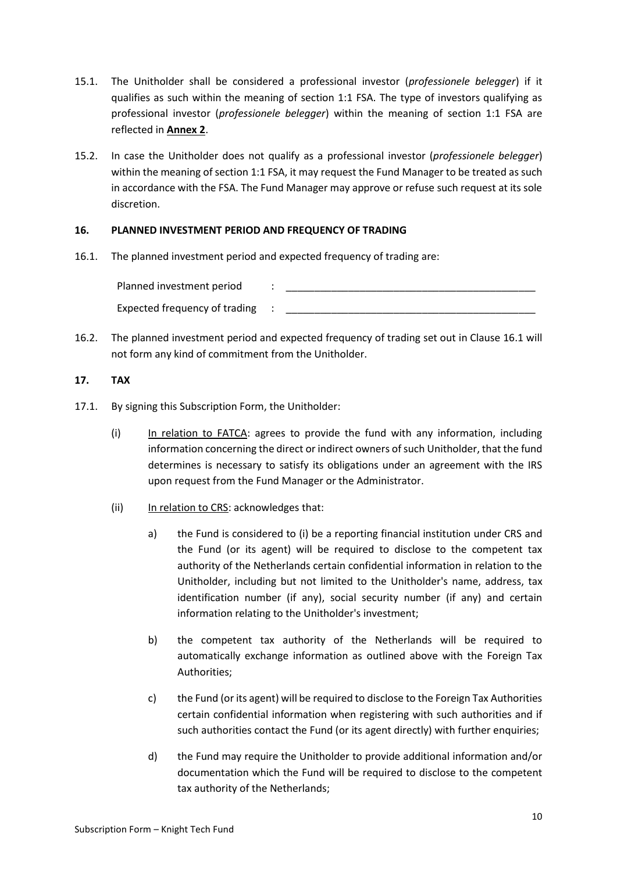- 15.1. The Unitholder shall be considered a professional investor (*professionele belegger*) if it qualifies as such within the meaning of section 1:1 FSA. The type of investors qualifying as professional investor (*professionele belegger*) within the meaning of section 1:1 FSA are reflected in **Annex 2**.
- 15.2. In case the Unitholder does not qualify as a professional investor (*professionele belegger*) within the meaning of section 1:1 FSA, it may request the Fund Manager to be treated as such in accordance with the FSA. The Fund Manager may approve or refuse such request at its sole discretion.

# **16. PLANNED INVESTMENT PERIOD AND FREQUENCY OF TRADING**

16.1. The planned investment period and expected frequency of trading are:

Planned investment period  $\qquad :$ Expected frequency of trading :

16.2. The planned investment period and expected frequency of trading set out in Clause 16.1 will not form any kind of commitment from the Unitholder.

# **17. TAX**

- 17.1. By signing this Subscription Form, the Unitholder:
	- (i) In relation to FATCA: agrees to provide the fund with any information, including information concerning the direct or indirect owners of such Unitholder, that the fund determines is necessary to satisfy its obligations under an agreement with the IRS upon request from the Fund Manager or the Administrator.
	- (ii) In relation to CRS: acknowledges that:
		- a) the Fund is considered to (i) be a reporting financial institution under CRS and the Fund (or its agent) will be required to disclose to the competent tax authority of the Netherlands certain confidential information in relation to the Unitholder, including but not limited to the Unitholder's name, address, tax identification number (if any), social security number (if any) and certain information relating to the Unitholder's investment;
		- b) the competent tax authority of the Netherlands will be required to automatically exchange information as outlined above with the Foreign Tax Authorities;
		- c) the Fund (or its agent) will be required to disclose to the Foreign Tax Authorities certain confidential information when registering with such authorities and if such authorities contact the Fund (or its agent directly) with further enquiries;
		- d) the Fund may require the Unitholder to provide additional information and/or documentation which the Fund will be required to disclose to the competent tax authority of the Netherlands;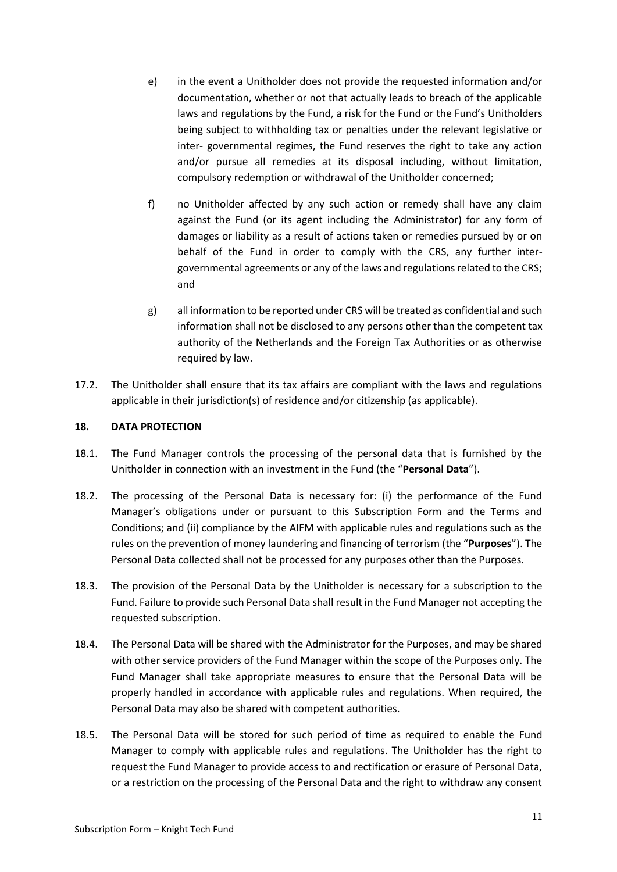- e) in the event a Unitholder does not provide the requested information and/or documentation, whether or not that actually leads to breach of the applicable laws and regulations by the Fund, a risk for the Fund or the Fund's Unitholders being subject to withholding tax or penalties under the relevant legislative or inter- governmental regimes, the Fund reserves the right to take any action and/or pursue all remedies at its disposal including, without limitation, compulsory redemption or withdrawal of the Unitholder concerned;
- f) no Unitholder affected by any such action or remedy shall have any claim against the Fund (or its agent including the Administrator) for any form of damages or liability as a result of actions taken or remedies pursued by or on behalf of the Fund in order to comply with the CRS, any further intergovernmental agreements or any of the laws and regulations related to the CRS; and
- g) all information to be reported under CRS will be treated as confidential and such information shall not be disclosed to any persons other than the competent tax authority of the Netherlands and the Foreign Tax Authorities or as otherwise required by law.
- 17.2. The Unitholder shall ensure that its tax affairs are compliant with the laws and regulations applicable in their jurisdiction(s) of residence and/or citizenship (as applicable).

# **18. DATA PROTECTION**

- 18.1. The Fund Manager controls the processing of the personal data that is furnished by the Unitholder in connection with an investment in the Fund (the "**Personal Data**").
- 18.2. The processing of the Personal Data is necessary for: (i) the performance of the Fund Manager's obligations under or pursuant to this Subscription Form and the Terms and Conditions; and (ii) compliance by the AIFM with applicable rules and regulations such as the rules on the prevention of money laundering and financing of terrorism (the "**Purposes**"). The Personal Data collected shall not be processed for any purposes other than the Purposes.
- 18.3. The provision of the Personal Data by the Unitholder is necessary for a subscription to the Fund. Failure to provide such Personal Data shall result in the Fund Manager not accepting the requested subscription.
- 18.4. The Personal Data will be shared with the Administrator for the Purposes, and may be shared with other service providers of the Fund Manager within the scope of the Purposes only. The Fund Manager shall take appropriate measures to ensure that the Personal Data will be properly handled in accordance with applicable rules and regulations. When required, the Personal Data may also be shared with competent authorities.
- 18.5. The Personal Data will be stored for such period of time as required to enable the Fund Manager to comply with applicable rules and regulations. The Unitholder has the right to request the Fund Manager to provide access to and rectification or erasure of Personal Data, or a restriction on the processing of the Personal Data and the right to withdraw any consent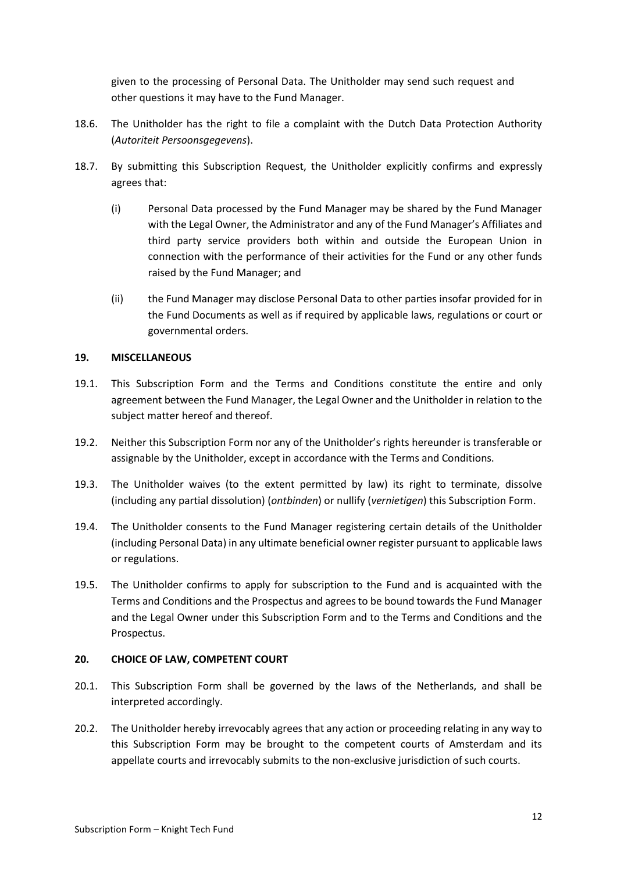given to the processing of Personal Data. The Unitholder may send such request and other questions it may have to the Fund Manager.

- 18.6. The Unitholder has the right to file a complaint with the Dutch Data Protection Authority (*Autoriteit Persoonsgegevens*).
- 18.7. By submitting this Subscription Request, the Unitholder explicitly confirms and expressly agrees that:
	- (i) Personal Data processed by the Fund Manager may be shared by the Fund Manager with the Legal Owner, the Administrator and any of the Fund Manager's Affiliates and third party service providers both within and outside the European Union in connection with the performance of their activities for the Fund or any other funds raised by the Fund Manager; and
	- (ii) the Fund Manager may disclose Personal Data to other parties insofar provided for in the Fund Documents as well as if required by applicable laws, regulations or court or governmental orders.

# **19. MISCELLANEOUS**

- 19.1. This Subscription Form and the Terms and Conditions constitute the entire and only agreement between the Fund Manager, the Legal Owner and the Unitholder in relation to the subject matter hereof and thereof.
- 19.2. Neither this Subscription Form nor any of the Unitholder's rights hereunder is transferable or assignable by the Unitholder, except in accordance with the Terms and Conditions.
- 19.3. The Unitholder waives (to the extent permitted by law) its right to terminate, dissolve (including any partial dissolution) (*ontbinden*) or nullify (*vernietigen*) this Subscription Form.
- 19.4. The Unitholder consents to the Fund Manager registering certain details of the Unitholder (including Personal Data) in any ultimate beneficial owner register pursuant to applicable laws or regulations.
- 19.5. The Unitholder confirms to apply for subscription to the Fund and is acquainted with the Terms and Conditions and the Prospectus and agrees to be bound towards the Fund Manager and the Legal Owner under this Subscription Form and to the Terms and Conditions and the Prospectus.

#### **20. CHOICE OF LAW, COMPETENT COURT**

- 20.1. This Subscription Form shall be governed by the laws of the Netherlands, and shall be interpreted accordingly.
- 20.2. The Unitholder hereby irrevocably agrees that any action or proceeding relating in any way to this Subscription Form may be brought to the competent courts of Amsterdam and its appellate courts and irrevocably submits to the non-exclusive jurisdiction of such courts.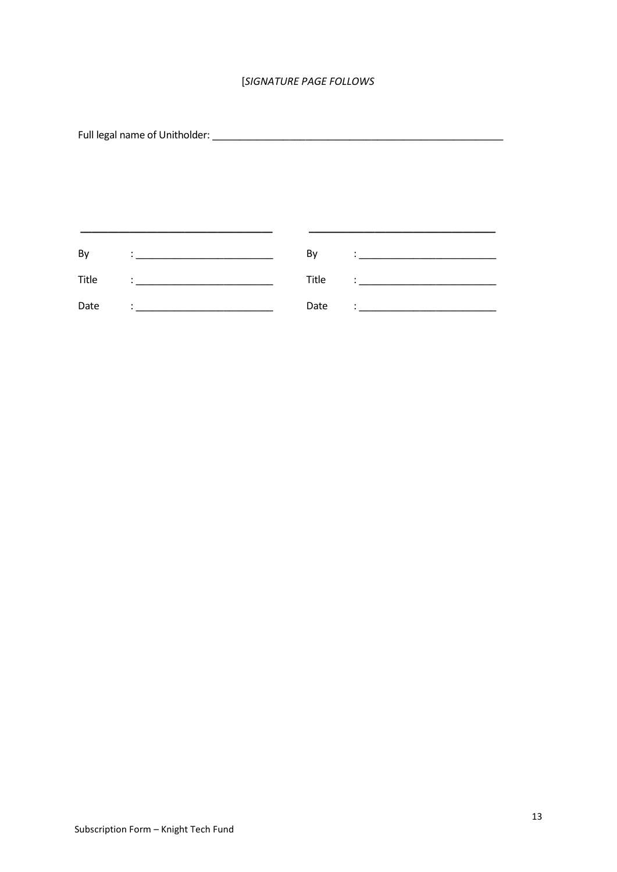# [SIGNATURE PAGE FOLLOWS

 $\frac{1}{2}$ 

| By    | By    |   |
|-------|-------|---|
| Title | Title | ٠ |
| Date  | Date  |   |

 $\overline{\phantom{0}}$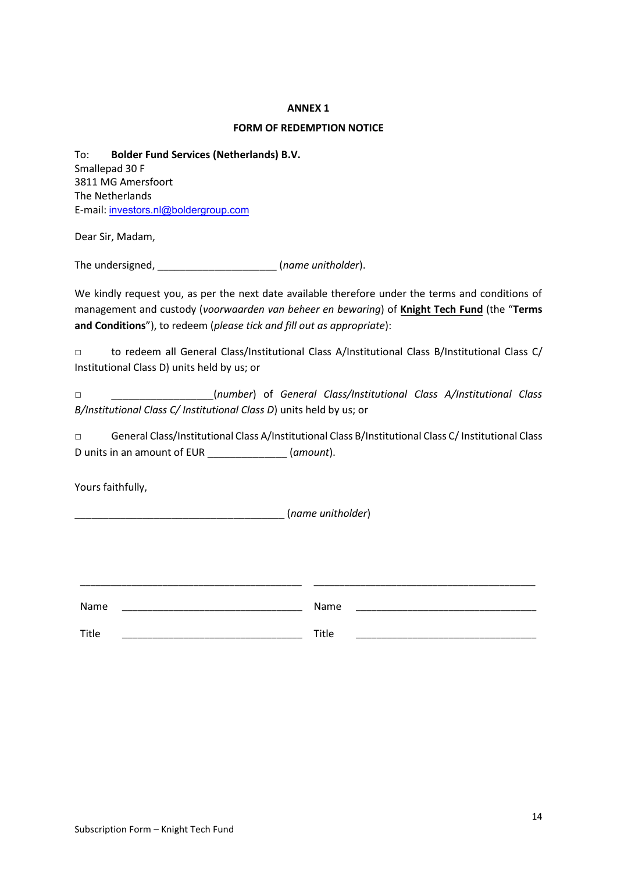#### **ANNEX 1**

#### **FORM OF REDEMPTION NOTICE**

To: **Bolder Fund Services (Netherlands) B.V.** Smallepad 30 F 3811 MG Amersfoort The Netherlands E-mail: investors.nl@boldergroup.com

Dear Sir, Madam,

The undersigned, \_\_\_\_\_\_\_\_\_\_\_\_\_\_\_\_\_\_\_\_\_ (*name unitholder*).

We kindly request you, as per the next date available therefore under the terms and conditions of management and custody (*voorwaarden van beheer en bewaring*) of **Knight Tech Fund** (the "**Terms and Conditions**"), to redeem (*please tick and fill out as appropriate*):

□ to redeem all General Class/Institutional Class A/Institutional Class B/Institutional Class C/ Institutional Class D) units held by us; or

□ \_\_\_\_\_\_\_\_\_\_\_\_\_\_\_\_\_\_(*number*) of *General Class/Institutional Class A/Institutional Class B/Institutional Class C/ Institutional Class D*) units held by us; or

□ General Class/Institutional Class A/Institutional Class B/Institutional Class C/Institutional Class D units in an amount of EUR \_\_\_\_\_\_\_\_\_\_\_\_\_\_ (*amount*).

Yours faithfully,

\_\_\_\_\_\_\_\_\_\_\_\_\_\_\_\_\_\_\_\_\_\_\_\_\_\_\_\_\_\_\_\_\_\_\_\_\_ (*name unitholder*)

| Name  | Name  |  |
|-------|-------|--|
| Title | Title |  |

\_\_\_\_\_\_\_\_\_\_\_\_\_\_\_\_\_\_\_\_\_\_\_\_\_\_\_\_\_\_\_\_\_\_\_\_\_\_\_\_\_\_\_ \_\_\_\_\_\_\_\_\_\_\_\_\_\_\_\_\_\_\_\_\_\_\_\_\_\_\_\_\_\_\_\_\_\_\_\_\_\_\_\_\_\_\_